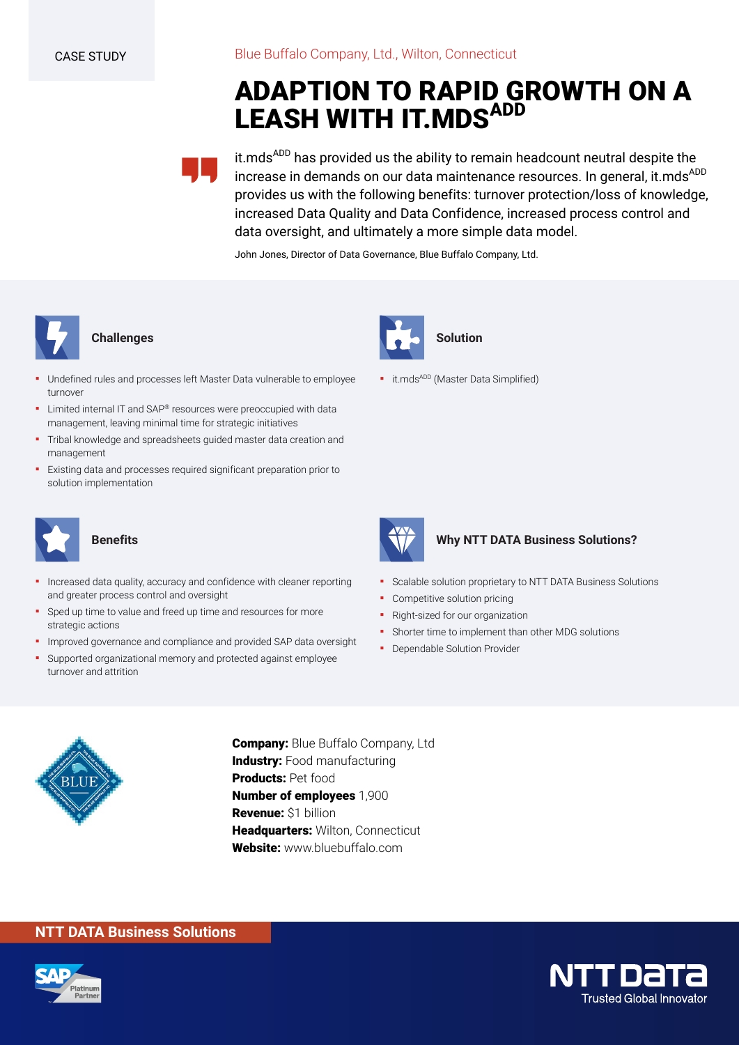# **ADAPTION TO RAPID GROWTH ON A LEASH WITH IT.MDSADD**



it.mds<sup>ADD</sup> has provided us the ability to remain headcount neutral despite the increase in demands on our data maintenance resources. In general, it.mds<sup>ADD</sup> provides us with the following benefits: turnover protection/loss of knowledge, increased Data Quality and Data Confidence, increased process control and data oversight, and ultimately a more simple data model.

John Jones, Director of Data Governance, Blue Buffalo Company, Ltd.



## **Challenges**

- Undefined rules and processes left Master Data vulnerable to employee turnover
- **E** Limited internal IT and SAP® resources were preoccupied with data management, leaving minimal time for strategic initiatives
- Tribal knowledge and spreadsheets guided master data creation and management
- Existing data and processes required significant preparation prior to solution implementation



### **Benefits**

- Increased data quality, accuracy and confidence with cleaner reporting and greater process control and oversight
- Sped up time to value and freed up time and resources for more strategic actions
- **·** Improved governance and compliance and provided SAP data oversight
- Supported organizational memory and protected against employee turnover and attrition



**·** it.mds<sup>ADD</sup> (Master Data Simplified)



## **Why NTT DATA Business Solutions?**

- Scalable solution proprietary to NTT DATA Business Solutions
- Competitive solution pricing
- Right-sized for our organization
- **•** Shorter time to implement than other MDG solutions
- **Dependable Solution Provider**



**Company:** Blue Buffalo Company, Ltd **Industry:** Food manufacturing **Products:** Pet food **Number of employees** 1,900 **Revenue:** \$1 billion **Headquarters:** Wilton, Connecticut **Website:** www.bluebuffalo.com

# **NTT DATA Business Solutions**